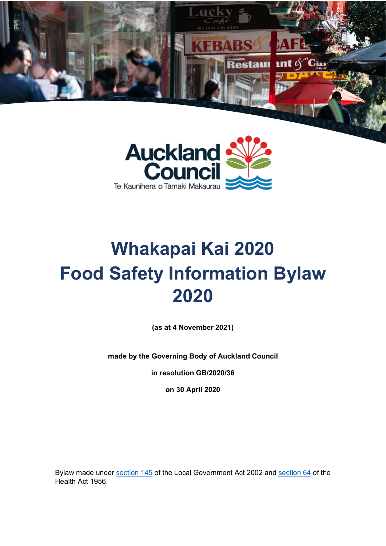



# **Whakapai Kai 2020 Food Safety Information Bylaw 2020**

**(as at 4 November 2021)**

**made by the Governing Body of Auckland Council**

**in resolution GB/2020/36**

**on 30 April 2020**

Bylaw made under [section 145](http://www.legislation.govt.nz/act/public/2002/0084/latest/DLM172978.html) of the Local Government Act 2002 and [section 64](http://www.legislation.govt.nz/act/public/1956/0065/121.0/DLM307053.html) of the Health Act 1956.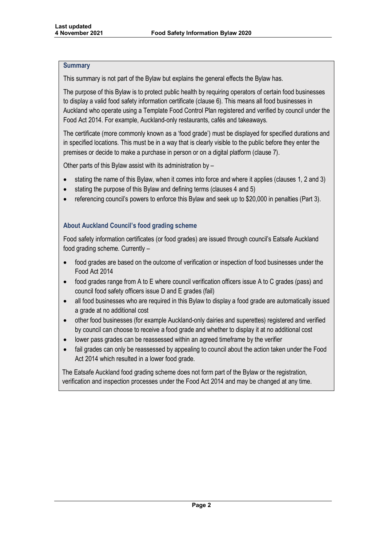## **Summary**

This summary is not part of the Bylaw but explains the general effects the Bylaw has.

The purpose of this Bylaw is to protect public health by requiring operators of certain food businesses to display a valid food safety information certificate (clause 6). This means all food businesses in Auckland who operate using a Template Food Control Plan registered and verified by council under the Food Act 2014. For example, Auckland-only restaurants, cafés and takeaways.

The certificate (more commonly known as a 'food grade') must be displayed for specified durations and in specified locations. This must be in a way that is clearly visible to the public before they enter the premises or decide to make a purchase in person or on a digital platform (clause 7).

Other parts of this Bylaw assist with its administration by –

- stating the name of this Bylaw, when it comes into force and where it applies (clauses 1, 2 and 3)
- stating the purpose of this Bylaw and defining terms (clauses 4 and 5)
- referencing council's powers to enforce this Bylaw and seek up to \$20,000 in penalties (Part 3).

## **About Auckland Council's food grading scheme**

Food safety information certificates (or food grades) are issued through council's Eatsafe Auckland food grading scheme. Currently –

- food grades are based on the outcome of verification or inspection of food businesses under the Food Act 2014
- food grades range from A to E where council verification officers issue A to C grades (pass) and council food safety officers issue D and E grades (fail)
- all food businesses who are required in this Bylaw to display a food grade are automatically issued a grade at no additional cost
- other food businesses (for example Auckland-only dairies and superettes) registered and verified by council can choose to receive a food grade and whether to display it at no additional cost
- lower pass grades can be reassessed within an agreed timeframe by the verifier
- fail grades can only be reassessed by appealing to council about the action taken under the Food Act 2014 which resulted in a lower food grade.

The Eatsafe Auckland food grading scheme does not form part of the Bylaw or the registration, verification and inspection processes under the Food Act 2014 and may be changed at any time.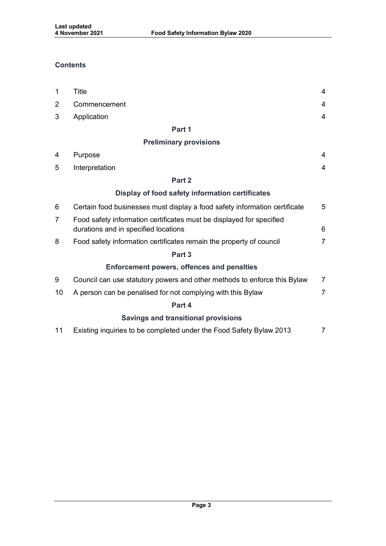# **Contents**

| $\mathbf 1$ | Title                                                                                                        | $\overline{4}$ |
|-------------|--------------------------------------------------------------------------------------------------------------|----------------|
| 2           | Commencement                                                                                                 | $\overline{4}$ |
| 3           | Application                                                                                                  | 4              |
|             | Part 1                                                                                                       |                |
|             | <b>Preliminary provisions</b>                                                                                |                |
| 4           | Purpose                                                                                                      | 4              |
| 5           | Interpretation                                                                                               | $\overline{4}$ |
|             | Part 2                                                                                                       |                |
|             | Display of food safety information certificates                                                              |                |
| 6           | Certain food businesses must display a food safety information certificate                                   | 5              |
| 7           | Food safety information certificates must be displayed for specified<br>durations and in specified locations |                |
| 8           | Food safety information certificates remain the property of council                                          | $\overline{7}$ |
|             | Part <sub>3</sub>                                                                                            |                |
|             | <b>Enforcement powers, offences and penalties</b>                                                            |                |
| 9           | Council can use statutory powers and other methods to enforce this Bylaw                                     | $\overline{7}$ |
| 10          | A person can be penalised for not complying with this Bylaw                                                  | $\overline{7}$ |
|             | Part 4                                                                                                       |                |
|             | <b>Savings and transitional provisions</b>                                                                   |                |
| 11          | Existing inquiries to be completed under the Food Safety Bylaw 2013                                          | 7              |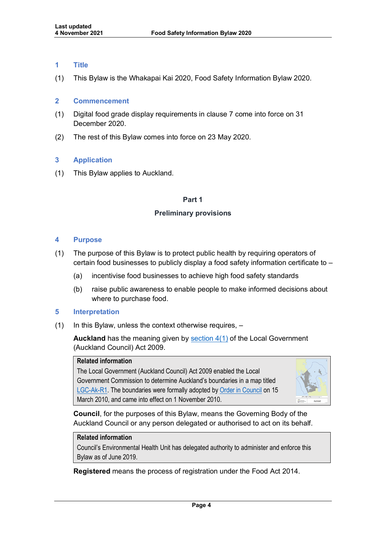## <span id="page-3-0"></span>**1 Title**

(1) This Bylaw is the Whakapai Kai 2020, Food Safety Information Bylaw 2020.

## <span id="page-3-1"></span>**2 Commencement**

- (1) Digital food grade display requirements in clause 7 come into force on 31 December 2020.
- (2) The rest of this Bylaw comes into force on 23 May 2020.

# <span id="page-3-2"></span>**3 Application**

<span id="page-3-3"></span>(1) This Bylaw applies to Auckland.

#### **Part 1**

## **Preliminary provisions**

#### <span id="page-3-5"></span><span id="page-3-4"></span>**4 Purpose**

- (1) The purpose of this Bylaw is to protect public health by requiring operators of certain food businesses to publicly display a food safety information certificate to –
	- (a) incentivise food businesses to achieve high food safety standards
	- (b) raise public awareness to enable people to make informed decisions about where to purchase food.

#### <span id="page-3-6"></span>**5 Interpretation**

 $(1)$  In this Bylaw, unless the context otherwise requires,  $-$ 

**Auckland** has the meaning given by [section 4\(1\)](http://www.legislation.govt.nz/act/public/2009/0032/latest/DLM2044916.html) of the Local Government (Auckland Council) Act 2009.

#### **Related information**

The Local Government (Auckland Council) Act 2009 enabled the Local Government Commission to determine Auckland's boundaries in a map titled [LGC-Ak-R1.](http://www.lgc.govt.nz/assets/Auckland-Governance/LGC-Ak-R1-Auckland-Region.pdf) The boundaries were formally adopted by [Order in Council](https://www.dia.govt.nz/pubforms.nsf/NZGZT/NZGazette31Mar10.pdf/$file/NZGazette31Mar10.pdf#page=69) on 15 March 2010, and came into effect on 1 November 2010.



**Council**, for the purposes of this Bylaw, means the Governing Body of the Auckland Council or any person delegated or authorised to act on its behalf.

# **Related information**

Council's Environmental Health Unit has delegated authority to administer and enforce this Bylaw as of June 2019.

**Registered** means the process of registration under the Food Act 2014.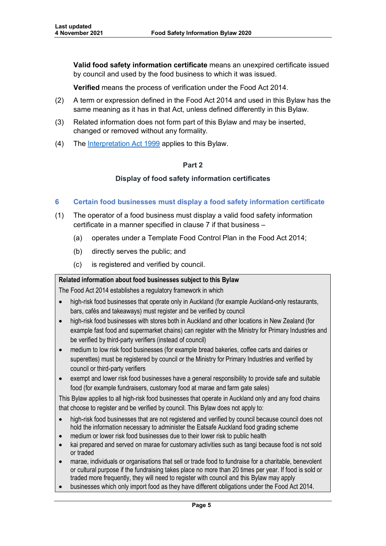**Valid food safety information certificate** means an unexpired certificate issued by council and used by the food business to which it was issued.

**Verified** means the process of verification under the Food Act 2014.

- (2) A term or expression defined in the Food Act 2014 and used in this Bylaw has the same meaning as it has in that Act, unless defined differently in this Bylaw.
- (3) Related information does not form part of this Bylaw and may be inserted, changed or removed without any formality.
- <span id="page-4-0"></span>(4) The [Interpretation Act 1999](http://www.legislation.govt.nz/act/public/1999/0085/latest/DLM31459.html) applies to this Bylaw.

# **Part 2**

# **Display of food safety information certificates**

- <span id="page-4-1"></span>**6 Certain food businesses must display a food safety information certificate**
- (1) The operator of a food business must display a valid food safety information certificate in a manner specified in clause 7 if that business –
	- (a) operates under a Template Food Control Plan in the Food Act 2014;
	- (b) directly serves the public; and
	- (c) is registered and verified by council.

# **Related information about food businesses subject to this Bylaw**

The Food Act 2014 establishes a regulatory framework in which

- high-risk food businesses that operate only in Auckland (for example Auckland-only restaurants, bars, cafés and takeaways) must register and be verified by council
- high-risk food businesses with stores both in Auckland and other locations in New Zealand (for example fast food and supermarket chains) can register with the Ministry for Primary Industries and be verified by third-party verifiers (instead of council)
- medium to low risk food businesses (for example bread bakeries, coffee carts and dairies or superettes) must be registered by council or the Ministry for Primary Industries and verified by council or third-party verifiers
- exempt and lower risk food businesses have a general responsibility to provide safe and suitable food (for example fundraisers, customary food at marae and farm gate sales)

This Bylaw applies to all high-risk food businesses that operate in Auckland only and any food chains that choose to register and be verified by council. This Bylaw does not apply to:

- high-risk food businesses that are not registered and verified by council because council does not hold the information necessary to administer the Eatsafe Auckland food grading scheme
- medium or lower risk food businesses due to their lower risk to public health
- kai prepared and served on marae for customary activities such as tangi because food is not sold or traded
- marae, individuals or organisations that sell or trade food to fundraise for a charitable, benevolent or cultural purpose if the fundraising takes place no more than 20 times per year. If food is sold or traded more frequently, they will need to register with council and this Bylaw may apply
- businesses which only import food as they have different obligations under the Food Act 2014.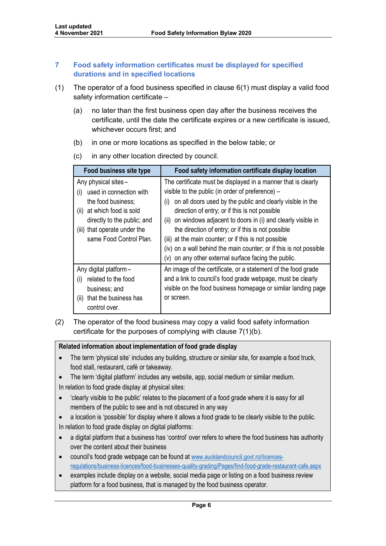# <span id="page-5-0"></span>**7 Food safety information certificates must be displayed for specified durations and in specified locations**

- (1) The operator of a food business specified in clause 6(1) must display a valid food safety information certificate –
	- (a) no later than the first business open day after the business receives the certificate, until the date the certificate expires or a new certificate is issued, whichever occurs first; and
	- (b) in one or more locations as specified in the below table; or
	- (c) in any other location directed by council.

| Food business site type                                                                                                                                                                                 | Food safety information certificate display location                                                                                                                                                                                                                                                                                                                                                                                                                                                                                                        |
|---------------------------------------------------------------------------------------------------------------------------------------------------------------------------------------------------------|-------------------------------------------------------------------------------------------------------------------------------------------------------------------------------------------------------------------------------------------------------------------------------------------------------------------------------------------------------------------------------------------------------------------------------------------------------------------------------------------------------------------------------------------------------------|
| Any physical sites -<br>used in connection with<br>(i)<br>the food business;<br>at which food is sold<br>(ii)<br>directly to the public; and<br>(iii) that operate under the<br>same Food Control Plan. | The certificate must be displayed in a manner that is clearly<br>visible to the public (in order of preference) –<br>on all doors used by the public and clearly visible in the<br>(i)<br>direction of entry; or if this is not possible<br>on windows adjacent to doors in (i) and clearly visible in<br>(ii)<br>the direction of entry; or if this is not possible<br>(iii) at the main counter; or if this is not possible<br>(iv) on a wall behind the main counter; or if this is not possible<br>(v) on any other external surface facing the public. |
| Any digital platform-<br>related to the food<br>(i)<br>business; and<br>that the business has<br>(ii)<br>control over.                                                                                  | An image of the certificate, or a statement of the food grade<br>and a link to council's food grade webpage, must be clearly<br>visible on the food business homepage or similar landing page<br>or screen.                                                                                                                                                                                                                                                                                                                                                 |

(2) The operator of the food business may copy a valid food safety information certificate for the purposes of complying with clause 7(1)(b).

# **Related information about implementation of food grade display**

- The term 'physical site' includes any building, structure or similar site, for example a food truck, food stall, restaurant, café or takeaway.
- The term 'digital platform' includes any website, app, social medium or similar medium.

In relation to food grade display at physical sites:

- 'clearly visible to the public' relates to the placement of a food grade where it is easy for all members of the public to see and is not obscured in any way
- a location is 'possible' for display where it allows a food grade to be clearly visible to the public. In relation to food grade display on digital platforms:
- a digital platform that a business has 'control' over refers to where the food business has authority over the content about their business
- council's food grade webpage can be found at [www.aucklandcouncil.govt.nz/licences](http://www.aucklandcouncil.govt.nz/licences-regulations/business-licences/food-businesses-quality-grading/Pages/find-food-grade-restaurant-cafe.aspx)[regulations/business-licences/food-businesses-quality-grading/Pages/find-food-grade-restaurant-cafe.aspx](http://www.aucklandcouncil.govt.nz/licences-regulations/business-licences/food-businesses-quality-grading/Pages/find-food-grade-restaurant-cafe.aspx)
- examples include display on a website, social media page or listing on a food business review platform for a food business, that is managed by the food business operator.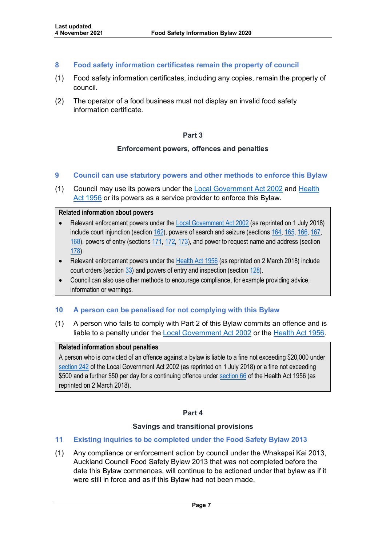# <span id="page-6-0"></span>**8 Food safety information certificates remain the property of council**

- (1) Food safety information certificates, including any copies, remain the property of council.
- <span id="page-6-1"></span>(2) The operator of a food business must not display an invalid food safety information certificate.

## **Part 3**

## **Enforcement powers, offences and penalties**

## <span id="page-6-3"></span><span id="page-6-2"></span>**9 Council can use statutory powers and other methods to enforce this Bylaw**

(1) Council may use its powers under the [Local Government Act 2002](http://www.legislation.govt.nz/act/public/2002/0084/167.0/DLM170873.html) and [Health](http://www.legislation.govt.nz/act/public/1956/0065/121.0/DLM305840.html#DLM307074)  [Act 1956](http://www.legislation.govt.nz/act/public/1956/0065/121.0/DLM305840.html#DLM307074) or its powers as a service provider to enforce this Bylaw.

#### **Related information about powers**

- Relevant enforcement powers under th[e Local Government Act 2002](http://www.legislation.govt.nz/act/public/2002/0084/167.0/DLM174049.html) (as reprinted on 1 July 2018) include court injunction (section [162\)](http://www.legislation.govt.nz/act/public/2002/0084/173.0/DLM173421.html), powers of search and seizure (sections [164,](http://www.legislation.govt.nz/act/public/2002/0084/167.0/DLM173426.html) [165,](http://www.legislation.govt.nz/act/public/2002/0084/167.0/DLM173427.html) [166,](http://www.legislation.govt.nz/act/public/2002/0084/167.0/DLM173429.html) [167,](http://www.legislation.govt.nz/act/public/2002/0084/167.0/DLM173430.html)  [168\)](http://www.legislation.govt.nz/act/public/2002/0084/167.0/DLM173431.html), powers of entry (section[s 171,](http://www.legislation.govt.nz/act/public/2002/0084/173.0/DLM173445.html) [172,](http://www.legislation.govt.nz/act/public/2002/0084/173.0/DLM173447.html) [173\)](http://www.legislation.govt.nz/act/public/2002/0084/173.0/DLM173448.html), and power to request name and address (section [178\)](http://www.legislation.govt.nz/act/public/2002/0084/173.0/DLM173455.html).
- Relevant enforcement powers under the Health [Act 1956](http://www.legislation.govt.nz/act/public/1956/0065/121.0/DLM305840.html?search=sw_096be8ed8174fefd_request+name_25_se&p=1) (as reprinted on 2 March 2018) include court orders (sectio[n 33\)](http://www.legislation.govt.nz/act/public/1956/0065/121.0/DLM306947.html) and powers of entry and inspection (sectio[n 128\)](http://www.legislation.govt.nz/act/public/1956/0065/121.0/DLM308490.html).
- Council can also use other methods to encourage compliance, for example providing advice, information or warnings.

# <span id="page-6-4"></span>**10 A person can be penalised for not complying with this Bylaw**

(1) A person who fails to comply with Part 2 of this Bylaw commits an offence and is liable to a penalty under the [Local Government Act 2002](http://www.legislation.govt.nz/act/public/2002/0084/167.0/DLM174049.html) or the [Health Act 1956.](http://www.legislation.govt.nz/act/public/1956/0065/121.0/DLM305840.html#DLM307074)

#### **Related information about penalties**

A person who is convicted of an offence against a bylaw is liable to a fine not exceeding \$20,000 under [section 242](http://www.legislation.govt.nz/act/public/2002/0084/167.0/DLM174049.html) of the Local Government Act 2002 (as reprinted on 1 July 2018) or a fine not exceeding \$500 and a further \$50 per day for a continuing offence under [section 66](http://www.legislation.govt.nz/act/public/1956/0065/121.0/DLM307074.html) of the Health Act 1956 (as reprinted on 2 March 2018).

#### **Part 4**

#### **Savings and transitional provisions**

# <span id="page-6-7"></span><span id="page-6-6"></span><span id="page-6-5"></span>**11 Existing inquiries to be completed under the Food Safety Bylaw 2013**

(1) Any compliance or enforcement action by council under the Whakapai Kai 2013, Auckland Council Food Safety Bylaw 2013 that was not completed before the date this Bylaw commences, will continue to be actioned under that bylaw as if it were still in force and as if this Bylaw had not been made.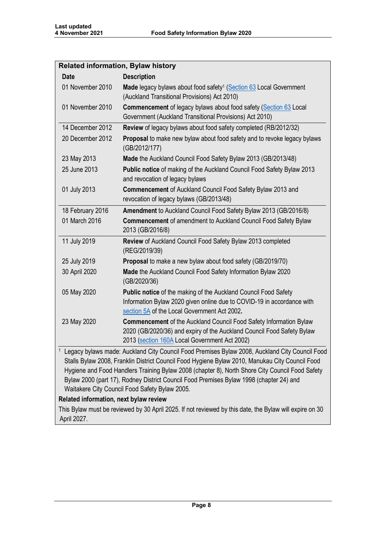| <b>Related information, Bylaw history</b>                                                                                                                                                                                                                                                                                                                                                                                                                                                                |                                                                                                                                                                                               |  |  |  |  |
|----------------------------------------------------------------------------------------------------------------------------------------------------------------------------------------------------------------------------------------------------------------------------------------------------------------------------------------------------------------------------------------------------------------------------------------------------------------------------------------------------------|-----------------------------------------------------------------------------------------------------------------------------------------------------------------------------------------------|--|--|--|--|
| <b>Date</b>                                                                                                                                                                                                                                                                                                                                                                                                                                                                                              | <b>Description</b>                                                                                                                                                                            |  |  |  |  |
| 01 November 2010                                                                                                                                                                                                                                                                                                                                                                                                                                                                                         | Made legacy bylaws about food safety <sup>1</sup> (Section 63 Local Government<br>(Auckland Transitional Provisions) Act 2010)                                                                |  |  |  |  |
| 01 November 2010                                                                                                                                                                                                                                                                                                                                                                                                                                                                                         | Commencement of legacy bylaws about food safety (Section 63 Local<br>Government (Auckland Transitional Provisions) Act 2010)                                                                  |  |  |  |  |
| 14 December 2012                                                                                                                                                                                                                                                                                                                                                                                                                                                                                         | Review of legacy bylaws about food safety completed (RB/2012/32)                                                                                                                              |  |  |  |  |
| 20 December 2012                                                                                                                                                                                                                                                                                                                                                                                                                                                                                         | Proposal to make new bylaw about food safety and to revoke legacy bylaws<br>(GB/2012/177)                                                                                                     |  |  |  |  |
| 23 May 2013                                                                                                                                                                                                                                                                                                                                                                                                                                                                                              | Made the Auckland Council Food Safety Bylaw 2013 (GB/2013/48)                                                                                                                                 |  |  |  |  |
| 25 June 2013                                                                                                                                                                                                                                                                                                                                                                                                                                                                                             | Public notice of making of the Auckland Council Food Safety Bylaw 2013<br>and revocation of legacy bylaws                                                                                     |  |  |  |  |
| 01 July 2013                                                                                                                                                                                                                                                                                                                                                                                                                                                                                             | Commencement of Auckland Council Food Safety Bylaw 2013 and<br>revocation of legacy bylaws (GB/2013/48)                                                                                       |  |  |  |  |
| 18 February 2016                                                                                                                                                                                                                                                                                                                                                                                                                                                                                         | Amendment to Auckland Council Food Safety Bylaw 2013 (GB/2016/8)                                                                                                                              |  |  |  |  |
| 01 March 2016                                                                                                                                                                                                                                                                                                                                                                                                                                                                                            | Commencement of amendment to Auckland Council Food Safety Bylaw<br>2013 (GB/2016/8)                                                                                                           |  |  |  |  |
| 11 July 2019                                                                                                                                                                                                                                                                                                                                                                                                                                                                                             | Review of Auckland Council Food Safety Bylaw 2013 completed<br>(REG/2019/39)                                                                                                                  |  |  |  |  |
| 25 July 2019                                                                                                                                                                                                                                                                                                                                                                                                                                                                                             | Proposal to make a new bylaw about food safety (GB/2019/70)                                                                                                                                   |  |  |  |  |
| 30 April 2020                                                                                                                                                                                                                                                                                                                                                                                                                                                                                            | Made the Auckland Council Food Safety Information Bylaw 2020<br>(GB/2020/36)                                                                                                                  |  |  |  |  |
| 05 May 2020                                                                                                                                                                                                                                                                                                                                                                                                                                                                                              | Public notice of the making of the Auckland Council Food Safety<br>Information Bylaw 2020 given online due to COVID-19 in accordance with<br>section 5A of the Local Government Act 2002.     |  |  |  |  |
| 23 May 2020                                                                                                                                                                                                                                                                                                                                                                                                                                                                                              | Commencement of the Auckland Council Food Safety Information Bylaw<br>2020 (GB/2020/36) and expiry of the Auckland Council Food Safety Bylaw<br>2013 (section 160A Local Government Act 2002) |  |  |  |  |
| <sup>1</sup> Legacy bylaws made: Auckland City Council Food Premises Bylaw 2008, Auckland City Council Food<br>Stalls Bylaw 2008, Franklin District Council Food Hygiene Bylaw 2010, Manukau City Council Food<br>Hygiene and Food Handlers Training Bylaw 2008 (chapter 8), North Shore City Council Food Safety<br>Bylaw 2000 (part 17), Rodney District Council Food Premises Bylaw 1998 (chapter 24) and<br>Waitakere City Council Food Safety Bylaw 2005.<br>Related information, next bylaw review |                                                                                                                                                                                               |  |  |  |  |
| This Bylaw must be reviewed by 30 April 2025. If not reviewed by this date, the Bylaw will expire on 30<br>April 2027.                                                                                                                                                                                                                                                                                                                                                                                   |                                                                                                                                                                                               |  |  |  |  |